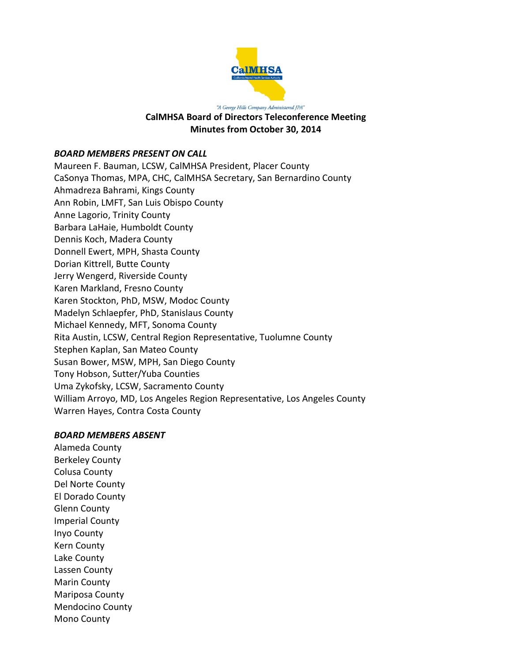

#### "A George Hills Company Administered JPA" **CalMHSA Board of Directors Teleconference Meeting Minutes from October 30, 2014**

### *BOARD MEMBERS PRESENT ON CALL*

Maureen F. Bauman, LCSW, CalMHSA President, Placer County CaSonya Thomas, MPA, CHC, CalMHSA Secretary, San Bernardino County Ahmadreza Bahrami, Kings County Ann Robin, LMFT, San Luis Obispo County Anne Lagorio, Trinity County Barbara LaHaie, Humboldt County Dennis Koch, Madera County Donnell Ewert, MPH, Shasta County Dorian Kittrell, Butte County Jerry Wengerd, Riverside County Karen Markland, Fresno County Karen Stockton, PhD, MSW, Modoc County Madelyn Schlaepfer, PhD, Stanislaus County Michael Kennedy, MFT, Sonoma County Rita Austin, LCSW, Central Region Representative, Tuolumne County Stephen Kaplan, San Mateo County Susan Bower, MSW, MPH, San Diego County Tony Hobson, Sutter/Yuba Counties Uma Zykofsky, LCSW, Sacramento County William Arroyo, MD, Los Angeles Region Representative, Los Angeles County Warren Hayes, Contra Costa County

### *BOARD MEMBERS ABSENT*

Alameda County Berkeley County Colusa County Del Norte County El Dorado County Glenn County Imperial County Inyo County Kern County Lake County Lassen County Marin County Mariposa County Mendocino County Mono County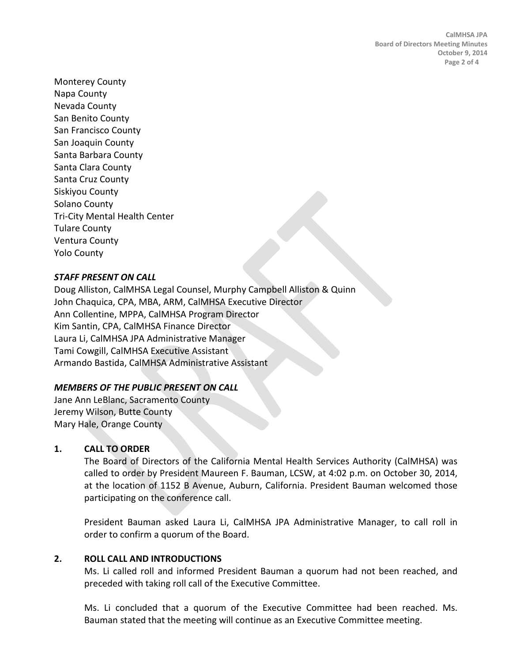Monterey County Napa County Nevada County San Benito County San Francisco County San Joaquin County Santa Barbara County Santa Clara County Santa Cruz County Siskiyou County Solano County Tri-City Mental Health Center Tulare County Ventura County Yolo County

# *STAFF PRESENT ON CALL*

Doug Alliston, CalMHSA Legal Counsel, Murphy Campbell Alliston & Quinn John Chaquica, CPA, MBA, ARM, CalMHSA Executive Director Ann Collentine, MPPA, CalMHSA Program Director Kim Santin, CPA, CalMHSA Finance Director Laura Li, CalMHSA JPA Administrative Manager Tami Cowgill, CalMHSA Executive Assistant Armando Bastida, CalMHSA Administrative Assistant

## *MEMBERS OF THE PUBLIC PRESENT ON CALL*

Jane Ann LeBlanc, Sacramento County Jeremy Wilson, Butte County Mary Hale, Orange County

## **1. CALL TO ORDER**

The Board of Directors of the California Mental Health Services Authority (CalMHSA) was called to order by President Maureen F. Bauman, LCSW, at 4:02 p.m. on October 30, 2014, at the location of 1152 B Avenue, Auburn, California. President Bauman welcomed those participating on the conference call.

President Bauman asked Laura Li, CalMHSA JPA Administrative Manager, to call roll in order to confirm a quorum of the Board.

## **2. ROLL CALL AND INTRODUCTIONS**

Ms. Li called roll and informed President Bauman a quorum had not been reached, and preceded with taking roll call of the Executive Committee.

Ms. Li concluded that a quorum of the Executive Committee had been reached. Ms. Bauman stated that the meeting will continue as an Executive Committee meeting.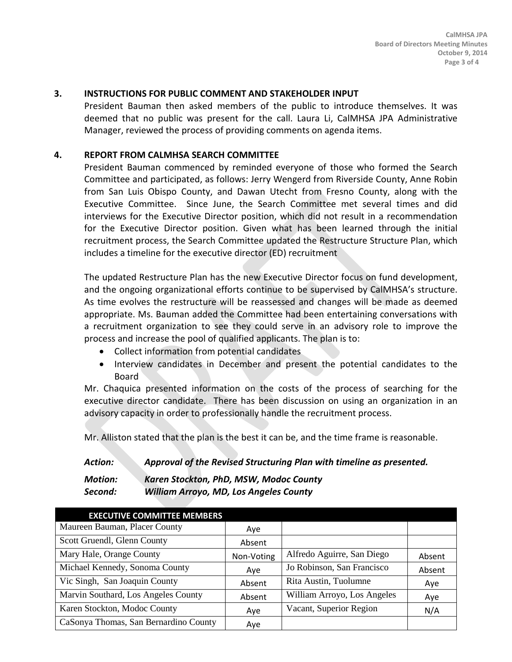### **3. INSTRUCTIONS FOR PUBLIC COMMENT AND STAKEHOLDER INPUT**

President Bauman then asked members of the public to introduce themselves. It was deemed that no public was present for the call. Laura Li, CalMHSA JPA Administrative Manager, reviewed the process of providing comments on agenda items.

#### **4. REPORT FROM CALMHSA SEARCH COMMITTEE**

President Bauman commenced by reminded everyone of those who formed the Search Committee and participated, as follows: Jerry Wengerd from Riverside County, Anne Robin from San Luis Obispo County, and Dawan Utecht from Fresno County, along with the Executive Committee. Since June, the Search Committee met several times and did interviews for the Executive Director position, which did not result in a recommendation for the Executive Director position. Given what has been learned through the initial recruitment process, the Search Committee updated the Restructure Structure Plan, which includes a timeline for the executive director (ED) recruitment

The updated Restructure Plan has the new Executive Director focus on fund development, and the ongoing organizational efforts continue to be supervised by CalMHSA's structure. As time evolves the restructure will be reassessed and changes will be made as deemed appropriate. Ms. Bauman added the Committee had been entertaining conversations with a recruitment organization to see they could serve in an advisory role to improve the process and increase the pool of qualified applicants. The plan is to:

- Collect information from potential candidates
- Interview candidates in December and present the potential candidates to the Board

Mr. Chaquica presented information on the costs of the process of searching for the executive director candidate. There has been discussion on using an organization in an advisory capacity in order to professionally handle the recruitment process.

Mr. Alliston stated that the plan is the best it can be, and the time frame is reasonable.

*Action: Approval of the Revised Structuring Plan with timeline as presented. Motion: Karen Stockton, PhD, MSW, Modoc County*

*Second: William Arroyo, MD, Los Angeles County*

| <b>EXECUTIVE COMMITTEE MEMBERS</b>    |            |                             |        |
|---------------------------------------|------------|-----------------------------|--------|
| Maureen Bauman, Placer County         | Aye        |                             |        |
| Scott Gruendl, Glenn County           | Absent     |                             |        |
| Mary Hale, Orange County              | Non-Voting | Alfredo Aguirre, San Diego  | Absent |
| Michael Kennedy, Sonoma County        | Aye        | Jo Robinson, San Francisco  | Absent |
| Vic Singh, San Joaquin County         | Absent     | Rita Austin, Tuolumne       | Aye    |
| Marvin Southard, Los Angeles County   | Absent     | William Arroyo, Los Angeles | Aye    |
| Karen Stockton, Modoc County          | Aye        | Vacant, Superior Region     | N/A    |
| CaSonya Thomas, San Bernardino County | Ave        |                             |        |